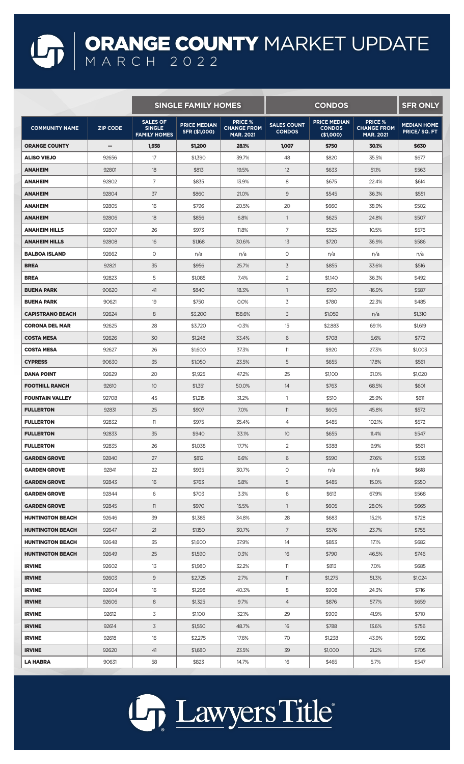## ORANGE COUNTY MARKET UPDATE MARCH 2022

|                         |                 | <b>SINGLE FAMILY HOMES</b>                              |                                      |                                                          | <b>CONDOS</b>                       |                                                   |                                                          | <b>SFR ONLY</b>                    |
|-------------------------|-----------------|---------------------------------------------------------|--------------------------------------|----------------------------------------------------------|-------------------------------------|---------------------------------------------------|----------------------------------------------------------|------------------------------------|
| <b>COMMUNITY NAME</b>   | <b>ZIP CODE</b> | <b>SALES OF</b><br><b>SINGLE</b><br><b>FAMILY HOMES</b> | <b>PRICE MEDIAN</b><br>SFR (\$1,000) | <b>PRICE %</b><br><b>CHANGE FROM</b><br><b>MAR. 2021</b> | <b>SALES COUNT</b><br><b>CONDOS</b> | <b>PRICE MEDIAN</b><br><b>CONDOS</b><br>(\$1,000) | <b>PRICE %</b><br><b>CHANGE FROM</b><br><b>MAR. 2021</b> | <b>MEDIAN HOME</b><br>PRICE/SQ. FT |
| <b>ORANGE COUNTY</b>    | -               | 1,938                                                   | \$1,200                              | 28.1%                                                    | 1,007                               | \$750                                             | 30.1%                                                    | \$630                              |
| <b>ALISO VIEJO</b>      | 92656           | 17                                                      | \$1,390                              | 39.7%                                                    | 48                                  | \$820                                             | 35.5%                                                    | \$677                              |
| <b>ANAHEIM</b>          | 92801           | 18                                                      | \$813                                | 19.5%                                                    | 12                                  | \$633                                             | 51.1%                                                    | \$563                              |
| <b>ANAHEIM</b>          | 92802           | 7                                                       | \$835                                | 13.9%                                                    | 8                                   | \$675                                             | 22.4%                                                    | \$614                              |
| <b>ANAHEIM</b>          | 92804           | 37                                                      | \$860                                | 21.0%                                                    | 9                                   | \$545                                             | 36.3%                                                    | \$551                              |
| <b>ANAHEIM</b>          | 92805           | 16                                                      | \$796                                | 20.5%                                                    | 20                                  | \$660                                             | 38.9%                                                    | \$502                              |
| <b>ANAHEIM</b>          | 92806           | 18                                                      | \$856                                | 6.8%                                                     | $\mathbf{1}$                        | \$625                                             | 24.8%                                                    | \$507                              |
| <b>ANAHEIM HILLS</b>    | 92807           | 26                                                      | \$973                                | 11.8%                                                    | 7                                   | \$525                                             | 10.5%                                                    | \$576                              |
| <b>ANAHEIM HILLS</b>    | 92808           | 16                                                      | \$1,168                              | 30.6%                                                    | 13                                  | \$720                                             | 36.9%                                                    | \$586                              |
| <b>BALBOA ISLAND</b>    | 92662           | 0                                                       | n/a                                  | n/a                                                      | $\circ$                             | n/a                                               | n/a                                                      | n/a                                |
| <b>BREA</b>             | 92821           | 35                                                      | \$956                                | 25.7%                                                    | 3                                   | \$855                                             | 33.6%                                                    | \$516                              |
| <b>BREA</b>             | 92823           | 5                                                       | \$1,085                              | 7.4%                                                     | 2                                   | \$1,140                                           | 36.3%                                                    | \$492                              |
| <b>BUENA PARK</b>       | 90620           | 41                                                      | \$840                                | 18.3%                                                    | $\mathbf{1}$                        | \$510                                             | $-16.9%$                                                 | \$587                              |
| <b>BUENA PARK</b>       | 90621           | 19                                                      | \$750                                | 0.0%                                                     | 3                                   | \$780                                             | 22.3%                                                    | \$485                              |
| <b>CAPISTRANO BEACH</b> | 92624           | 8                                                       | \$3,200                              | 158.6%                                                   | 3                                   | \$1,059                                           | n/a                                                      | \$1,310                            |
| <b>CORONA DEL MAR</b>   | 92625           | 28                                                      | \$3,720                              | $-0.3%$                                                  | 15                                  | \$2,883                                           | 69.1%                                                    | \$1,619                            |
| <b>COSTA MESA</b>       | 92626           | 30                                                      | \$1,248                              | 33.4%                                                    | 6                                   | \$708                                             | 5.6%                                                     | \$772                              |
| <b>COSTA MESA</b>       | 92627           | 26                                                      | \$1,600                              | 37.3%                                                    | 11                                  | \$920                                             | 27.3%                                                    | \$1,003                            |
| <b>CYPRESS</b>          | 90630           | 35                                                      | \$1,050                              | 23.5%                                                    | 5                                   | \$655                                             | 17.8%                                                    | \$561                              |
| <b>DANA POINT</b>       | 92629           | 20                                                      | \$1,925                              | 47.2%                                                    | 25                                  | \$1,100                                           | 31.0%                                                    | \$1,020                            |
| <b>FOOTHILL RANCH</b>   | 92610           | 10                                                      | \$1,351                              | 50.0%                                                    | 14                                  | \$763                                             | 68.5%                                                    | \$601                              |
| <b>FOUNTAIN VALLEY</b>  | 92708           | 45                                                      | \$1,215                              | 31.2%                                                    | $\mathbf{1}$                        | \$510                                             | 25.9%                                                    | \$611                              |
| <b>FULLERTON</b>        | 92831           | 25                                                      | \$907                                | 7.0%                                                     | 11                                  | \$605                                             | 45.8%                                                    | \$572                              |
| <b>FULLERTON</b>        | 92832           | 11                                                      | \$975                                | 35.4%                                                    | 4                                   | \$485                                             | 102.1%                                                   | \$572                              |
| <b>FULLERTON</b>        | 92833           | 35                                                      | \$940                                | 33.1%                                                    | 10                                  | \$655                                             | 11.4%                                                    | \$547                              |
| <b>FULLERTON</b>        | 92835           | 26                                                      | \$1,038                              | 17.7%                                                    | $\overline{2}$                      | \$388                                             | 9.9%                                                     | \$561                              |
| <b>GARDEN GROVE</b>     | 92840           | 27                                                      | \$812                                | 6.6%                                                     | 6                                   | \$590                                             | 27.6%                                                    | \$535                              |
| <b>GARDEN GROVE</b>     | 92841           | 22                                                      | \$935                                | 30.7%                                                    | $\circ$                             | n/a                                               | n/a                                                      | \$618                              |
| <b>GARDEN GROVE</b>     | 92843           | 16                                                      | \$763                                | 5.8%                                                     | 5                                   | \$485                                             | 15.0%                                                    | \$550                              |
| <b>GARDEN GROVE</b>     | 92844           | 6                                                       | \$703                                | 3.3%                                                     | 6                                   | \$613                                             | 67.9%                                                    | \$568                              |
| <b>GARDEN GROVE</b>     | 92845           | 11                                                      | \$970                                | 15.5%                                                    | $\mathbf{1}$                        | \$605                                             | 28.0%                                                    | \$665                              |
| <b>HUNTINGTON BEACH</b> | 92646           | 39                                                      | \$1,385                              | 34.8%                                                    | 28                                  | \$683                                             | 15.2%                                                    | \$728                              |
| <b>HUNTINGTON BEACH</b> | 92647           | 21                                                      | \$1,150                              | 30.7%                                                    | $7\overline{ }$                     | \$576                                             | 23.7%                                                    | \$755                              |
| <b>HUNTINGTON BEACH</b> | 92648           | 35                                                      | \$1,600                              | 37.9%                                                    | 14                                  | \$853                                             | 17.1%                                                    | \$682                              |
| <b>HUNTINGTON BEACH</b> | 92649           | 25                                                      | \$1,590                              | 0.3%                                                     | 16                                  | \$790                                             | 46.5%                                                    | \$746                              |
| <b>IRVINE</b>           | 92602           | 13                                                      | \$1,980                              | 32.2%                                                    | 11                                  | \$813                                             | 7.0%                                                     | \$685                              |
| <b>IRVINE</b>           | 92603           | 9                                                       | \$2,725                              | 2.7%                                                     | 11                                  | \$1,275                                           | 51.3%                                                    | \$1,024                            |
| <b>IRVINE</b>           | 92604           | 16                                                      | \$1,298                              | 40.3%                                                    | 8                                   | \$908                                             | 24.3%                                                    | \$716                              |
| <b>IRVINE</b>           | 92606           | 8                                                       | \$1,325                              | 9.7%                                                     | $\overline{4}$                      | \$876                                             | 57.7%                                                    | \$659                              |
| <b>IRVINE</b>           | 92612           | 3                                                       | \$1,100                              | 32.1%                                                    | 29                                  | \$909                                             | 41.9%                                                    | \$710                              |
| <b>IRVINE</b>           | 92614           | $\overline{3}$                                          | \$1,550                              | 48.7%                                                    | 16                                  | \$788                                             | 13.6%                                                    | \$756                              |
| <b>IRVINE</b>           | 92618           | 16                                                      | \$2,275                              | 17.6%                                                    | 70                                  | \$1,238                                           | 43.9%                                                    | \$692                              |
| <b>IRVINE</b>           | 92620           | 41                                                      | \$1,680                              | 23.5%                                                    | 39                                  | \$1,000                                           | 21.2%                                                    | \$705                              |
| LA HABRA                | 90631           | 58                                                      | \$823                                | 14.7%                                                    | 16                                  | \$465                                             | 5.7%                                                     | \$547                              |